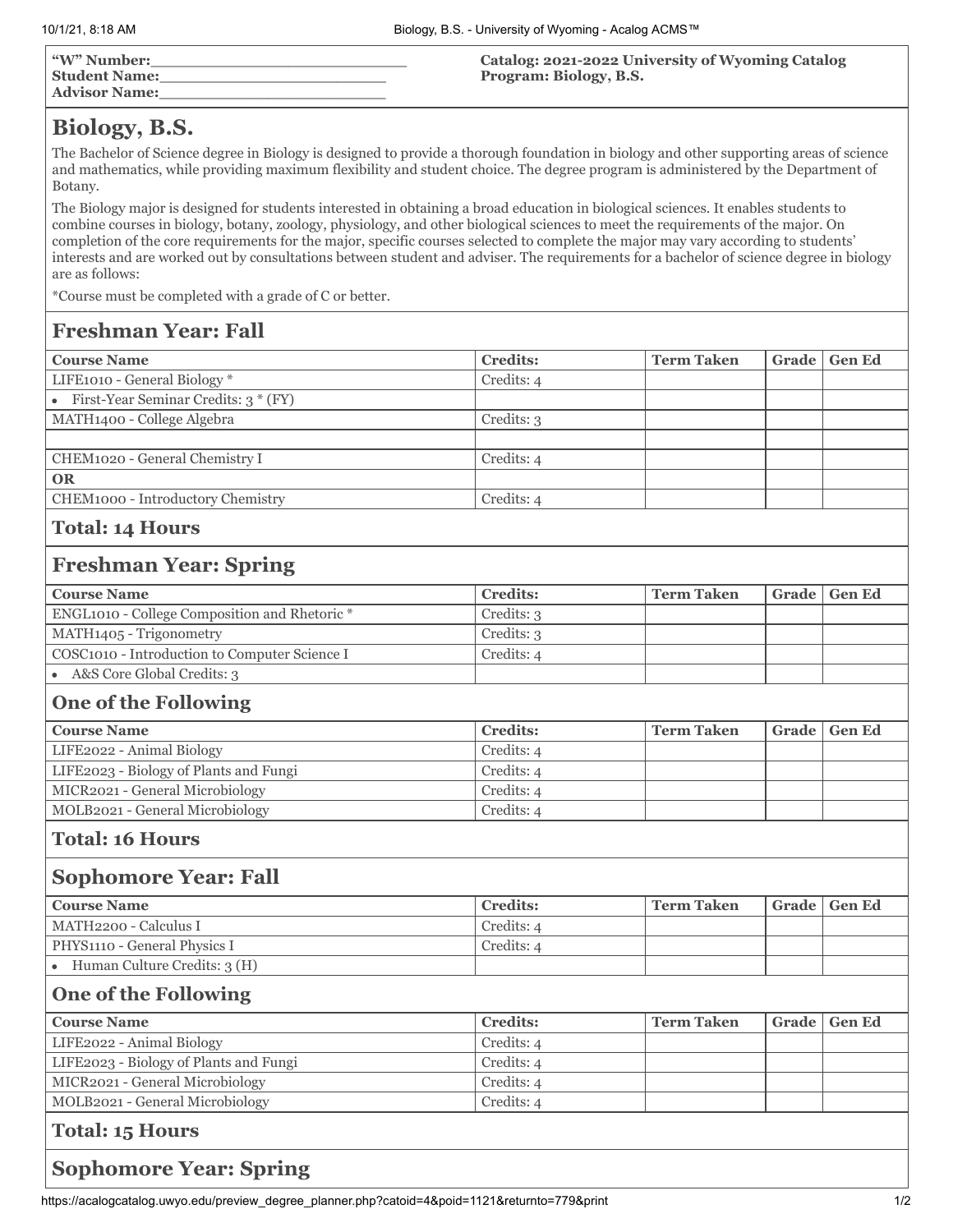| "W" Number:<br><b>Student Name:</b><br><b>Advisor Name:</b> | <b>Catalog: 2021-2022 University of Wyoming Catalog</b><br>Program: Biology, B.S. |
|-------------------------------------------------------------|-----------------------------------------------------------------------------------|
|                                                             |                                                                                   |

# **Biology, B.S.**

The Bachelor of Science degree in Biology is designed to provide a thorough foundation in biology and other supporting areas of science and mathematics, while providing maximum flexibility and student choice. The degree program is administered by the Department of Botany.

The Biology major is designed for students interested in obtaining a broad education in biological sciences. It enables students to combine courses in biology, botany, zoology, physiology, and other biological sciences to meet the requirements of the major. On completion of the core requirements for the major, specific courses selected to complete the major may vary according to students' interests and are worked out by consultations between student and adviser. The requirements for a bachelor of science degree in biology are as follows:

\*Course must be completed with a grade of C or better.

# **Freshman Year: Fall**

| <b>Course Name</b>                     | <b>Credits:</b> | <b>Term Taken</b> | Grade   Gen Ed |
|----------------------------------------|-----------------|-------------------|----------------|
| LIFE1010 - General Biology *           | Credits: 4      |                   |                |
| • First-Year Seminar Credits: $3*(FY)$ |                 |                   |                |
| MATH1400 - College Algebra             | Credits: 3      |                   |                |
|                                        |                 |                   |                |
| CHEM1020 - General Chemistry I         | Credits: 4      |                   |                |
| <b>OR</b>                              |                 |                   |                |
| CHEM1000 - Introductory Chemistry      | Credits: 4      |                   |                |
|                                        |                 |                   |                |

#### **Total: 14 Hours**

#### **Freshman Year: Spring**

| <b>Course Name</b>                            | <b>Credits:</b> | ' Term Taken | Grade   Gen Ed |
|-----------------------------------------------|-----------------|--------------|----------------|
| ENGL1010 - College Composition and Rhetoric * | Credits: 3      |              |                |
| MATH1405 - Trigonometry                       | Credits: 3      |              |                |
| COSC1010 - Introduction to Computer Science I | Credits: 4      |              |                |
| A&S Core Global Credits: 3                    |                 |              |                |

## **One of the Following**

| <b>Course Name</b>                     | <b>Credits:</b> | <b>Term Taken</b> | Grade   Gen Ed |
|----------------------------------------|-----------------|-------------------|----------------|
| LIFE2022 - Animal Biology              | Credits: 4      |                   |                |
| LIFE2023 - Biology of Plants and Fungi | Credits: 4      |                   |                |
| MICR2021 - General Microbiology        | Credits: 4      |                   |                |
| MOLB2021 - General Microbiology        | Credits: 4      |                   |                |

#### **Total: 16 Hours**

#### **Sophomore Year: Fall**

| <b>Course Name</b>           | <b>Credits:</b> | <b>Term Taken</b> | Grade   Gen Ed |
|------------------------------|-----------------|-------------------|----------------|
| MATH2200 - Calculus I        | Credits: 4      |                   |                |
| PHYS1110 - General Physics I | Credits: 4      |                   |                |
| Human Culture Credits: 3 (H) |                 |                   |                |

# **One of the Following**

| <b>Course Name</b>                     | <b>Credits:</b> | <b>Term Taken</b> | Grade   Gen Ed |
|----------------------------------------|-----------------|-------------------|----------------|
| LIFE2022 - Animal Biology              | Credits: 4      |                   |                |
| LIFE2023 - Biology of Plants and Fungi | Credits: 4      |                   |                |
| MICR2021 - General Microbiology        | Credits: 4      |                   |                |
| MOLB2021 - General Microbiology        | Credits: 4      |                   |                |
| Total: 15 Hours                        |                 |                   |                |

### **Sophomore Year: Spring**